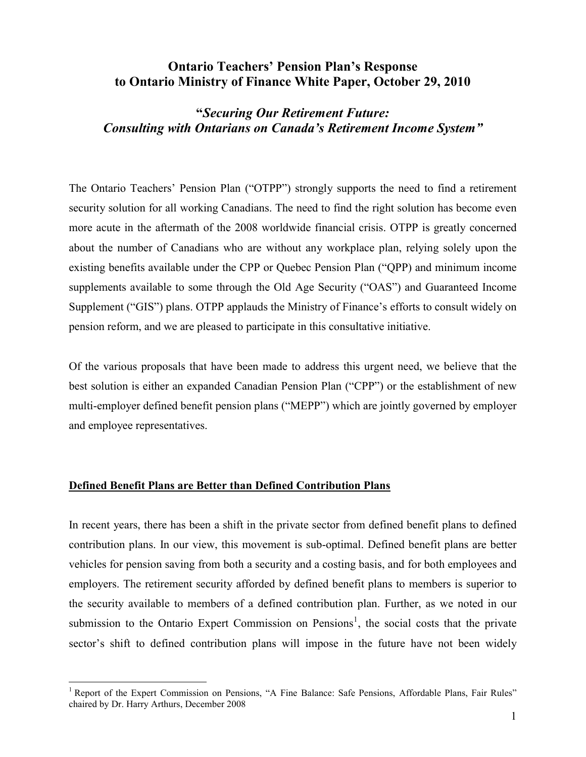# **Ontario Teachers' Pension Plan's Response to Ontario Ministry of Finance White Paper, October 29, 2010**

# **"***Securing Our Retirement Future: Consulting with Ontarians on Canada's Retirement Income System"*

The Ontario Teachers' Pension Plan ("OTPP") strongly supports the need to find a retirement security solution for all working Canadians. The need to find the right solution has become even more acute in the aftermath of the 2008 worldwide financial crisis. OTPP is greatly concerned about the number of Canadians who are without any workplace plan, relying solely upon the existing benefits available under the CPP or Quebec Pension Plan ("QPP) and minimum income supplements available to some through the Old Age Security ("OAS") and Guaranteed Income Supplement ("GIS") plans. OTPP applauds the Ministry of Finance's efforts to consult widely on pension reform, and we are pleased to participate in this consultative initiative.

Of the various proposals that have been made to address this urgent need, we believe that the best solution is either an expanded Canadian Pension Plan ("CPP") or the establishment of new multi-employer defined benefit pension plans ("MEPP") which are jointly governed by employer and employee representatives.

#### **Defined Benefit Plans are Better than Defined Contribution Plans**

 $\overline{a}$ 

In recent years, there has been a shift in the private sector from defined benefit plans to defined contribution plans. In our view, this movement is sub-optimal. Defined benefit plans are better vehicles for pension saving from both a security and a costing basis, and for both employees and employers. The retirement security afforded by defined benefit plans to members is superior to the security available to members of a defined contribution plan. Further, as we noted in our submission to the Ontario Expert Commission on Pensions<sup>1</sup>, the social costs that the private sector's shift to defined contribution plans will impose in the future have not been widely

<sup>&</sup>lt;sup>1</sup> Report of the Expert Commission on Pensions, "A Fine Balance: Safe Pensions, Affordable Plans, Fair Rules" chaired by Dr. Harry Arthurs, December 2008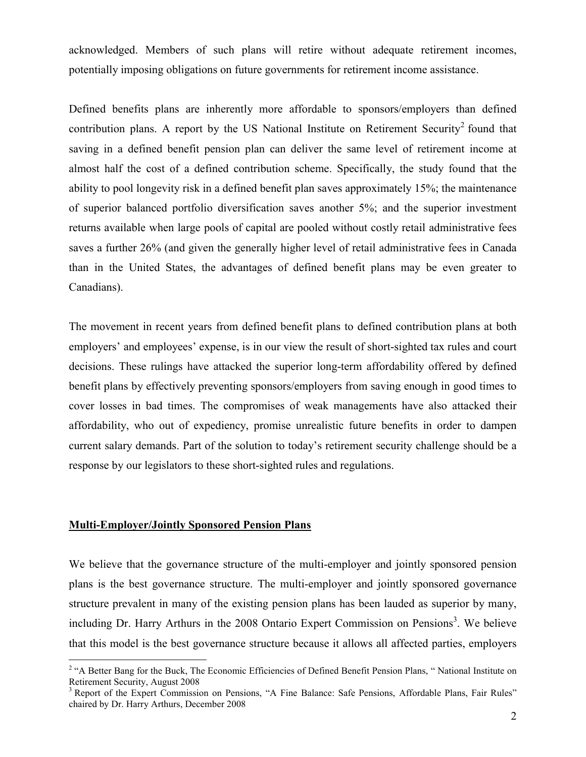acknowledged. Members of such plans will retire without adequate retirement incomes, potentially imposing obligations on future governments for retirement income assistance.

Defined benefits plans are inherently more affordable to sponsors/employers than defined contribution plans. A report by the US National Institute on Retirement Security<sup>2</sup> found that saving in a defined benefit pension plan can deliver the same level of retirement income at almost half the cost of a defined contribution scheme. Specifically, the study found that the ability to pool longevity risk in a defined benefit plan saves approximately 15%; the maintenance of superior balanced portfolio diversification saves another 5%; and the superior investment returns available when large pools of capital are pooled without costly retail administrative fees saves a further 26% (and given the generally higher level of retail administrative fees in Canada than in the United States, the advantages of defined benefit plans may be even greater to Canadians).

The movement in recent years from defined benefit plans to defined contribution plans at both employers' and employees' expense, is in our view the result of short-sighted tax rules and court decisions. These rulings have attacked the superior long-term affordability offered by defined benefit plans by effectively preventing sponsors/employers from saving enough in good times to cover losses in bad times. The compromises of weak managements have also attacked their affordability, who out of expediency, promise unrealistic future benefits in order to dampen current salary demands. Part of the solution to today's retirement security challenge should be a response by our legislators to these short-sighted rules and regulations.

#### **Multi-Employer/Jointly Sponsored Pension Plans**

We believe that the governance structure of the multi-employer and jointly sponsored pension plans is the best governance structure. The multi-employer and jointly sponsored governance structure prevalent in many of the existing pension plans has been lauded as superior by many, including Dr. Harry Arthurs in the 2008 Ontario Expert Commission on Pensions<sup>3</sup>. We believe that this model is the best governance structure because it allows all affected parties, employers

<sup>&</sup>lt;sup>2</sup> "A Better Bang for the Buck, The Economic Efficiencies of Defined Benefit Pension Plans, "National Institute on Retirement Security, August 2008

<sup>&</sup>lt;sup>3</sup> Report of the Expert Commission on Pensions, "A Fine Balance: Safe Pensions, Affordable Plans, Fair Rules" chaired by Dr. Harry Arthurs, December 2008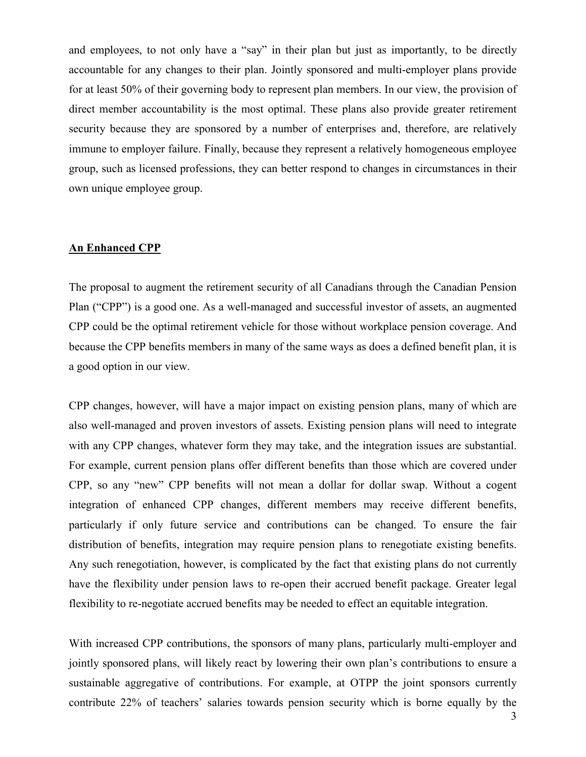and employees, to not only have a "say" in their plan but just as importantly, to be directly accountable for any changes to their plan. Jointly sponsored and multi-employer plans provide for at least 50% of their governing body to represent plan members. In our view, the provision of direct member accountability is the most optimal. These plans also provide greater retirement security because they are sponsored by a number of enterprises and, therefore, are relatively immune to employer failure. Finally, because they represent a relatively homogeneous employee group, such as licensed professions, they can better respond to changes in circumstances in their own unique employee group.

## **An Enhanced CPP**

The proposal to augment the retirement security of all Canadians through the Canadian Pension Plan ("CPP") is a good one. As a well-managed and successful investor of assets, an augmented CPP could be the optimal retirement vehicle for those without workplace pension coverage. And because the CPP benefits members in many of the same ways as does a defined benefit plan, it is a good option in our view.

CPP changes, however, will have a major impact on existing pension plans, many of which are also well-managed and proven investors of assets. Existing pension plans will need to integrate with any CPP changes, whatever form they may take, and the integration issues are substantial. For example, current pension plans offer different benefits than those which are covered under CPP, so any "new" CPP benefits will not mean a dollar for dollar swap. Without a cogent integration of enhanced CPP changes, different members may receive different benefits, particularly if only future service and contributions can be changed. To ensure the fair distribution of benefits, integration may require pension plans to renegotiate existing benefits. Any such renegotiation, however, is complicated by the fact that existing plans do not currently have the flexibility under pension laws to re-open their accrued benefit package. Greater legal flexibility to re-negotiate accrued benefits may be needed to effect an equitable integration.

With increased CPP contributions, the sponsors of many plans, particularly multi-employer and jointly sponsored plans, will likely react by lowering their own plan's contributions to ensure a sustainable aggregative of contributions. For example, at OTPP the joint sponsors currently contribute 22% of teachers' salaries towards pension security which is borne equally by the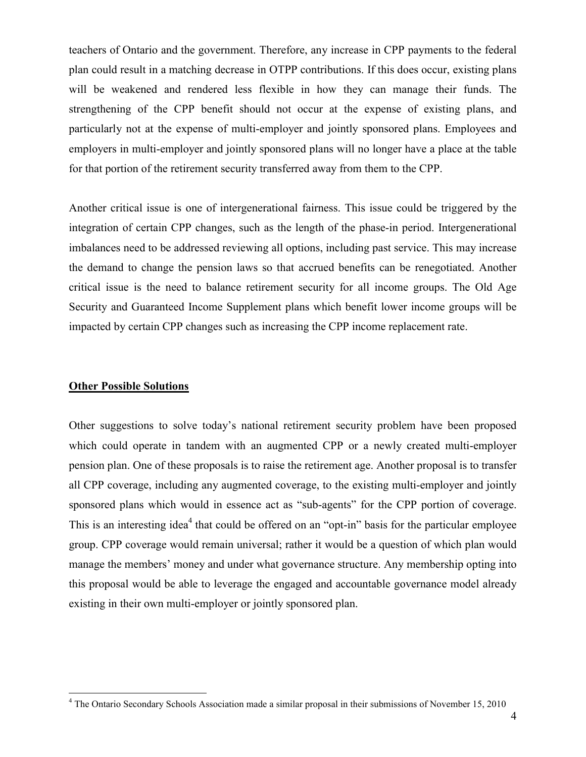teachers of Ontario and the government. Therefore, any increase in CPP payments to the federal plan could result in a matching decrease in OTPP contributions. If this does occur, existing plans will be weakened and rendered less flexible in how they can manage their funds. The strengthening of the CPP benefit should not occur at the expense of existing plans, and particularly not at the expense of multi-employer and jointly sponsored plans. Employees and employers in multi-employer and jointly sponsored plans will no longer have a place at the table for that portion of the retirement security transferred away from them to the CPP.

Another critical issue is one of intergenerational fairness. This issue could be triggered by the integration of certain CPP changes, such as the length of the phase-in period. Intergenerational imbalances need to be addressed reviewing all options, including past service. This may increase the demand to change the pension laws so that accrued benefits can be renegotiated. Another critical issue is the need to balance retirement security for all income groups. The Old Age Security and Guaranteed Income Supplement plans which benefit lower income groups will be impacted by certain CPP changes such as increasing the CPP income replacement rate.

#### **Other Possible Solutions**

 $\overline{a}$ 

Other suggestions to solve today's national retirement security problem have been proposed which could operate in tandem with an augmented CPP or a newly created multi-employer pension plan. One of these proposals is to raise the retirement age. Another proposal is to transfer all CPP coverage, including any augmented coverage, to the existing multi-employer and jointly sponsored plans which would in essence act as "sub-agents" for the CPP portion of coverage. This is an interesting idea<sup>4</sup> that could be offered on an "opt-in" basis for the particular employee group. CPP coverage would remain universal; rather it would be a question of which plan would manage the members' money and under what governance structure. Any membership opting into this proposal would be able to leverage the engaged and accountable governance model already existing in their own multi-employer or jointly sponsored plan.

<sup>&</sup>lt;sup>4</sup> The Ontario Secondary Schools Association made a similar proposal in their submissions of November 15, 2010